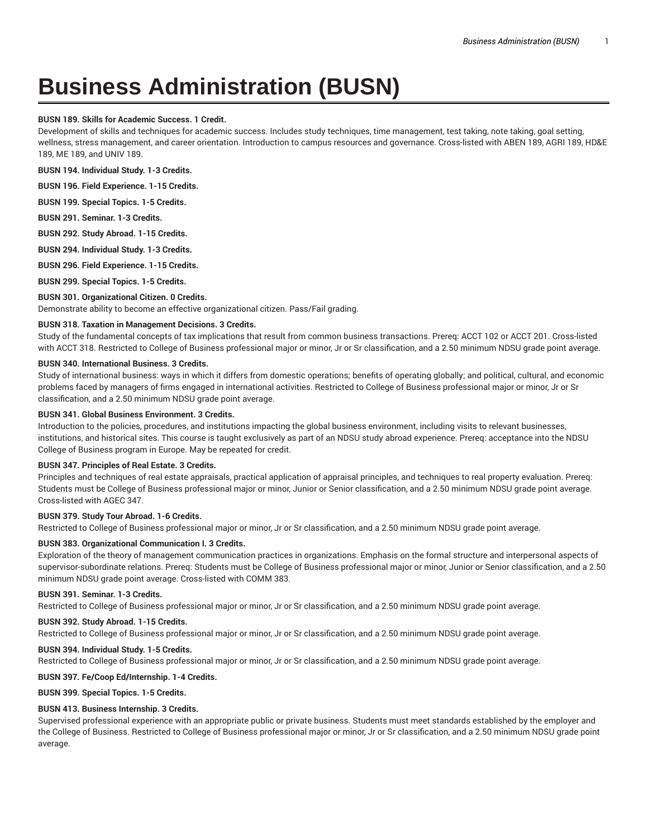# **Business Administration (BUSN)**

# **BUSN 189. Skills for Academic Success. 1 Credit.**

Development of skills and techniques for academic success. Includes study techniques, time management, test taking, note taking, goal setting, wellness, stress management, and career orientation. Introduction to campus resources and governance. Cross-listed with ABEN 189, AGRI 189, HD&E 189, ME 189, and UNIV 189.

**BUSN 194. Individual Study. 1-3 Credits.**

**BUSN 196. Field Experience. 1-15 Credits.**

**BUSN 199. Special Topics. 1-5 Credits.**

**BUSN 291. Seminar. 1-3 Credits.**

**BUSN 292. Study Abroad. 1-15 Credits.**

**BUSN 294. Individual Study. 1-3 Credits.**

**BUSN 296. Field Experience. 1-15 Credits.**

**BUSN 299. Special Topics. 1-5 Credits.**

# **BUSN 301. Organizational Citizen. 0 Credits.**

Demonstrate ability to become an effective organizational citizen. Pass/Fail grading.

#### **BUSN 318. Taxation in Management Decisions. 3 Credits.**

Study of the fundamental concepts of tax implications that result from common business transactions. Prereq: ACCT 102 or ACCT 201. Cross-listed with ACCT 318. Restricted to College of Business professional major or minor, Jr or Sr classification, and a 2.50 minimum NDSU grade point average.

#### **BUSN 340. International Business. 3 Credits.**

Study of international business: ways in which it differs from domestic operations; benefits of operating globally; and political, cultural, and economic problems faced by managers of firms engaged in international activities. Restricted to College of Business professional major or minor, Jr or Sr classification, and a 2.50 minimum NDSU grade point average.

#### **BUSN 341. Global Business Environment. 3 Credits.**

Introduction to the policies, procedures, and institutions impacting the global business environment, including visits to relevant businesses, institutions, and historical sites. This course is taught exclusively as part of an NDSU study abroad experience. Prereq: acceptance into the NDSU College of Business program in Europe. May be repeated for credit.

# **BUSN 347. Principles of Real Estate. 3 Credits.**

Principles and techniques of real estate appraisals, practical application of appraisal principles, and techniques to real property evaluation. Prereq: Students must be College of Business professional major or minor, Junior or Senior classification, and a 2.50 minimum NDSU grade point average. Cross-listed with AGEC 347.

# **BUSN 379. Study Tour Abroad. 1-6 Credits.**

Restricted to College of Business professional major or minor, Jr or Sr classification, and a 2.50 minimum NDSU grade point average.

# **BUSN 383. Organizational Communication I. 3 Credits.**

Exploration of the theory of management communication practices in organizations. Emphasis on the formal structure and interpersonal aspects of supervisor-subordinate relations. Prereq: Students must be College of Business professional major or minor, Junior or Senior classification, and a 2.50 minimum NDSU grade point average. Cross-listed with COMM 383.

# **BUSN 391. Seminar. 1-3 Credits.**

Restricted to College of Business professional major or minor, Jr or Sr classification, and a 2.50 minimum NDSU grade point average.

# **BUSN 392. Study Abroad. 1-15 Credits.**

Restricted to College of Business professional major or minor, Jr or Sr classification, and a 2.50 minimum NDSU grade point average.

# **BUSN 394. Individual Study. 1-5 Credits.**

Restricted to College of Business professional major or minor, Jr or Sr classification, and a 2.50 minimum NDSU grade point average.

# **BUSN 397. Fe/Coop Ed/Internship. 1-4 Credits.**

**BUSN 399. Special Topics. 1-5 Credits.**

# **BUSN 413. Business Internship. 3 Credits.**

Supervised professional experience with an appropriate public or private business. Students must meet standards established by the employer and the College of Business. Restricted to College of Business professional major or minor, Jr or Sr classification, and a 2.50 minimum NDSU grade point average.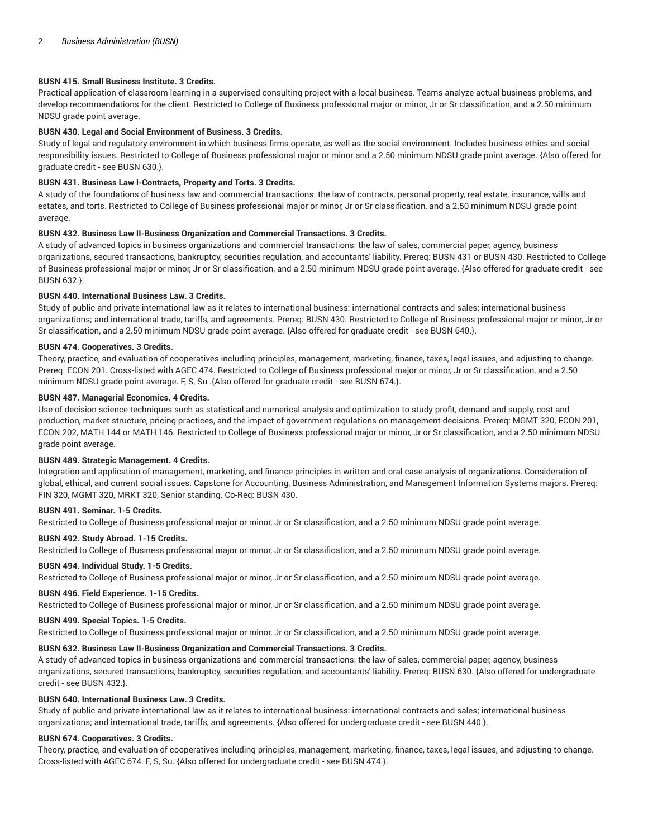# **BUSN 415. Small Business Institute. 3 Credits.**

Practical application of classroom learning in a supervised consulting project with a local business. Teams analyze actual business problems, and develop recommendations for the client. Restricted to College of Business professional major or minor, Jr or Sr classification, and a 2.50 minimum NDSU grade point average.

#### **BUSN 430. Legal and Social Environment of Business. 3 Credits.**

Study of legal and regulatory environment in which business firms operate, as well as the social environment. Includes business ethics and social responsibility issues. Restricted to College of Business professional major or minor and a 2.50 minimum NDSU grade point average. {Also offered for graduate credit - see BUSN 630.}.

# **BUSN 431. Business Law I-Contracts, Property and Torts. 3 Credits.**

A study of the foundations of business law and commercial transactions: the law of contracts, personal property, real estate, insurance, wills and estates, and torts. Restricted to College of Business professional major or minor, Jr or Sr classification, and a 2.50 minimum NDSU grade point average.

# **BUSN 432. Business Law II-Business Organization and Commercial Transactions. 3 Credits.**

A study of advanced topics in business organizations and commercial transactions: the law of sales, commercial paper, agency, business organizations, secured transactions, bankruptcy, securities regulation, and accountants' liability. Prereq: BUSN 431 or BUSN 430. Restricted to College of Business professional major or minor, Jr or Sr classification, and a 2.50 minimum NDSU grade point average. {Also offered for graduate credit - see BUSN 632.}.

#### **BUSN 440. International Business Law. 3 Credits.**

Study of public and private international law as it relates to international business: international contracts and sales; international business organizations; and international trade, tariffs, and agreements. Prereq: BUSN 430. Restricted to College of Business professional major or minor, Jr or Sr classification, and a 2.50 minimum NDSU grade point average. {Also offered for graduate credit - see BUSN 640.}.

#### **BUSN 474. Cooperatives. 3 Credits.**

Theory, practice, and evaluation of cooperatives including principles, management, marketing, finance, taxes, legal issues, and adjusting to change. Prereq: ECON 201. Cross-listed with AGEC 474. Restricted to College of Business professional major or minor, Jr or Sr classification, and a 2.50 minimum NDSU grade point average. F, S, Su .{Also offered for graduate credit - see BUSN 674.}.

#### **BUSN 487. Managerial Economics. 4 Credits.**

Use of decision science techniques such as statistical and numerical analysis and optimization to study profit, demand and supply, cost and production, market structure, pricing practices, and the impact of government regulations on management decisions. Prereq: MGMT 320, ECON 201, ECON 202, MATH 144 or MATH 146. Restricted to College of Business professional major or minor, Jr or Sr classification, and a 2.50 minimum NDSU grade point average.

#### **BUSN 489. Strategic Management. 4 Credits.**

Integration and application of management, marketing, and finance principles in written and oral case analysis of organizations. Consideration of global, ethical, and current social issues. Capstone for Accounting, Business Administration, and Management Information Systems majors. Prereq: FIN 320, MGMT 320, MRKT 320, Senior standing. Co-Req: BUSN 430.

#### **BUSN 491. Seminar. 1-5 Credits.**

Restricted to College of Business professional major or minor, Jr or Sr classification, and a 2.50 minimum NDSU grade point average.

#### **BUSN 492. Study Abroad. 1-15 Credits.**

Restricted to College of Business professional major or minor, Jr or Sr classification, and a 2.50 minimum NDSU grade point average.

#### **BUSN 494. Individual Study. 1-5 Credits.**

Restricted to College of Business professional major or minor, Jr or Sr classification, and a 2.50 minimum NDSU grade point average.

#### **BUSN 496. Field Experience. 1-15 Credits.**

Restricted to College of Business professional major or minor, Jr or Sr classification, and a 2.50 minimum NDSU grade point average.

# **BUSN 499. Special Topics. 1-5 Credits.**

Restricted to College of Business professional major or minor, Jr or Sr classification, and a 2.50 minimum NDSU grade point average.

# **BUSN 632. Business Law II-Business Organization and Commercial Transactions. 3 Credits.**

A study of advanced topics in business organizations and commercial transactions: the law of sales, commercial paper, agency, business organizations, secured transactions, bankruptcy, securities regulation, and accountants' liability. Prereq: BUSN 630. {Also offered for undergraduate credit - see BUSN 432.}.

# **BUSN 640. International Business Law. 3 Credits.**

Study of public and private international law as it relates to international business: international contracts and sales; international business organizations; and international trade, tariffs, and agreements. {Also offered for undergraduate credit - see BUSN 440.}.

#### **BUSN 674. Cooperatives. 3 Credits.**

Theory, practice, and evaluation of cooperatives including principles, management, marketing, finance, taxes, legal issues, and adjusting to change. Cross-listed with AGEC 674. F, S, Su. {Also offered for undergraduate credit - see BUSN 474.}.